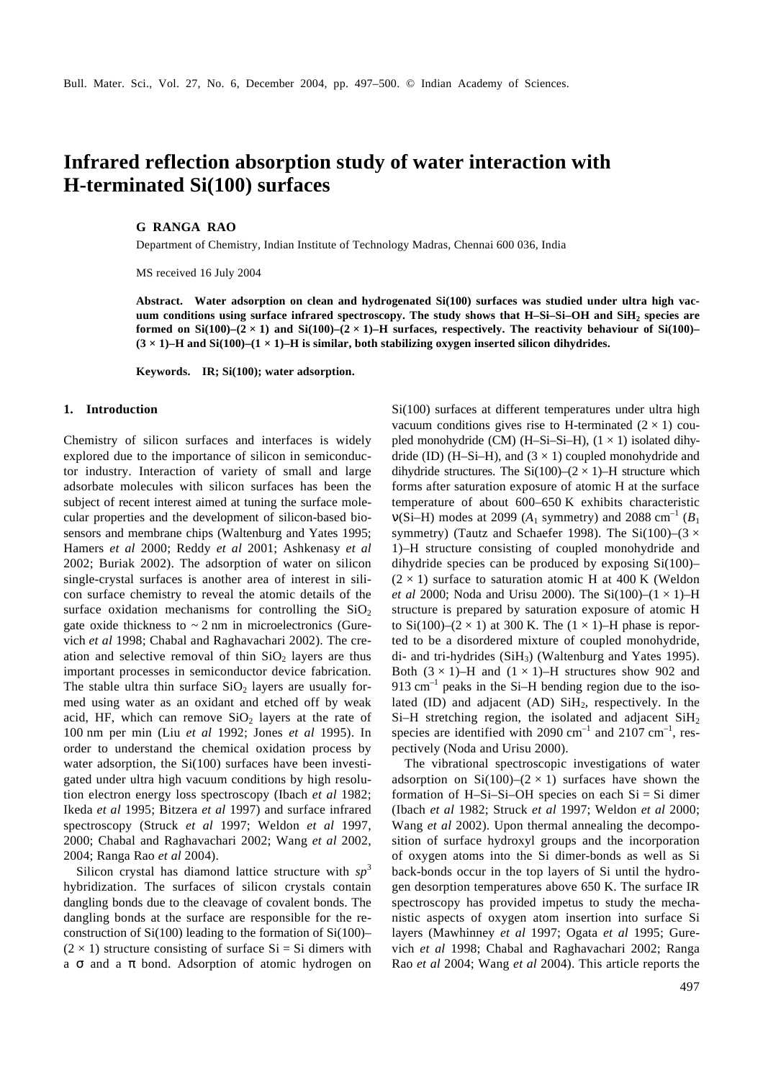# **Infrared reflection absorption study of water interaction with H-terminated Si(100) surfaces**

### **G RANGA RAO**

Department of Chemistry, Indian Institute of Technology Madras, Chennai 600 036, India

MS received 16 July 2004

**Abstract. Water adsorption on clean and hydrogenated Si(100) surfaces was studied under ultra high vacuum conditions using surface infrared spectroscopy. The study shows that H–Si–Si–OH and SiH<sup>2</sup> species are formed on Si(100)–(2 × 1) and Si(100)–(2 × 1)–H surfaces, respectively. The reactivity behaviour of Si(100)– (3 × 1)–H and Si(100)–(1 × 1)–H is similar, both stabilizing oxygen inserted silicon dihydrides.**

**Keywords. IR; Si(100); water adsorption.**

#### **1. Introduction**

Chemistry of silicon surfaces and interfaces is widely explored due to the importance of silicon in semiconductor industry. Interaction of variety of small and large adsorbate molecules with silicon surfaces has been the subject of recent interest aimed at tuning the surface molecular properties and the development of silicon-based biosensors and membrane chips (Waltenburg and Yates 1995; Hamers *et al* 2000; Reddy *et al* 2001; Ashkenasy *et al* 2002; Buriak 2002). The adsorption of water on silicon single-crystal surfaces is another area of interest in silicon surface chemistry to reveal the atomic details of the surface oxidation mechanisms for controlling the  $SiO<sub>2</sub>$ gate oxide thickness to  $\sim$  2 nm in microelectronics (Gurevich *et al* 1998; Chabal and Raghavachari 2002). The creation and selective removal of thin  $SiO<sub>2</sub>$  layers are thus important processes in semiconductor device fabrication. The stable ultra thin surface  $SiO<sub>2</sub>$  layers are usually formed using water as an oxidant and etched off by weak acid, HF, which can remove  $SiO<sub>2</sub>$  layers at the rate of 100 nm per min (Liu *et al* 1992; Jones *et al* 1995). In order to understand the chemical oxidation process by water adsorption, the Si(100) surfaces have been investigated under ultra high vacuum conditions by high resolution electron energy loss spectroscopy (Ibach *et al* 1982; Ikeda *et al* 1995; Bitzera *et al* 1997) and surface infrared spectroscopy (Struck *et al* 1997; Weldon *et al* 1997, 2000; Chabal and Raghavachari 2002; Wang *et al* 2002, 2004; Ranga Rao *et al* 2004).

Silicon crystal has diamond lattice structure with *sp* 3 hybridization. The surfaces of silicon crystals contain dangling bonds due to the cleavage of covalent bonds. The dangling bonds at the surface are responsible for the reconstruction of  $Si(100)$  leading to the formation of  $Si(100)$ –  $(2 \times 1)$  structure consisting of surface Si = Si dimers with a *s* and a *p* bond. Adsorption of atomic hydrogen on Si(100) surfaces at different temperatures under ultra high vacuum conditions gives rise to H-terminated  $(2 \times 1)$  coupled monohydride (CM) (H–Si–Si–H),  $(1 \times 1)$  isolated dihydride (ID) (H–Si–H), and  $(3 \times 1)$  coupled monohydride and dihydride structures. The  $Si(100)–(2 \times 1)–H$  structure which forms after saturation exposure of atomic H at the surface temperature of about 600–650 K exhibits characteristic  $n(Si-H)$  modes at 2099 ( $A_1$  symmetry) and 2088 cm<sup>-1</sup> ( $B_1$ ) symmetry) (Tautz and Schaefer 1998). The Si(100)–(3  $\times$ 1)–H structure consisting of coupled monohydride and dihydride species can be produced by exposing Si(100)–  $(2 \times 1)$  surface to saturation atomic H at 400 K (Weldon *et al* 2000; Noda and Urisu 2000). The Si(100)–(1 × 1)–H structure is prepared by saturation exposure of atomic H to Si(100)–(2  $\times$  1) at 300 K. The (1  $\times$  1)–H phase is reported to be a disordered mixture of coupled monohydride, di- and tri-hydrides (SiH3) (Waltenburg and Yates 1995). Both  $(3 \times 1)$ –H and  $(1 \times 1)$ –H structures show 902 and 913  $\text{cm}^{-1}$  peaks in the Si-H bending region due to the isolated (ID) and adjacent (AD)  $SiH<sub>2</sub>$ , respectively. In the Si–H stretching region, the isolated and adjacent  $SiH<sub>2</sub>$ species are identified with 2090  $\text{cm}^{-1}$  and 2107  $\text{cm}^{-1}$ , respectively (Noda and Urisu 2000).

The vibrational spectroscopic investigations of water adsorption on  $Si(100)–(2 \times 1)$  surfaces have shown the formation of H–Si–Si–OH species on each  $Si = Si$  dimer (Ibach *et al* 1982; Struck *et al* 1997; Weldon *et al* 2000; Wang *et al* 2002). Upon thermal annealing the decomposition of surface hydroxyl groups and the incorporation of oxygen atoms into the Si dimer-bonds as well as Si back-bonds occur in the top layers of Si until the hydrogen desorption temperatures above 650 K. The surface IR spectroscopy has provided impetus to study the mechanistic aspects of oxygen atom insertion into surface Si layers (Mawhinney *et al* 1997; Ogata *et al* 1995; Gurevich *et al* 1998; Chabal and Raghavachari 2002; Ranga Rao *et al* 2004; Wang *et al* 2004). This article reports the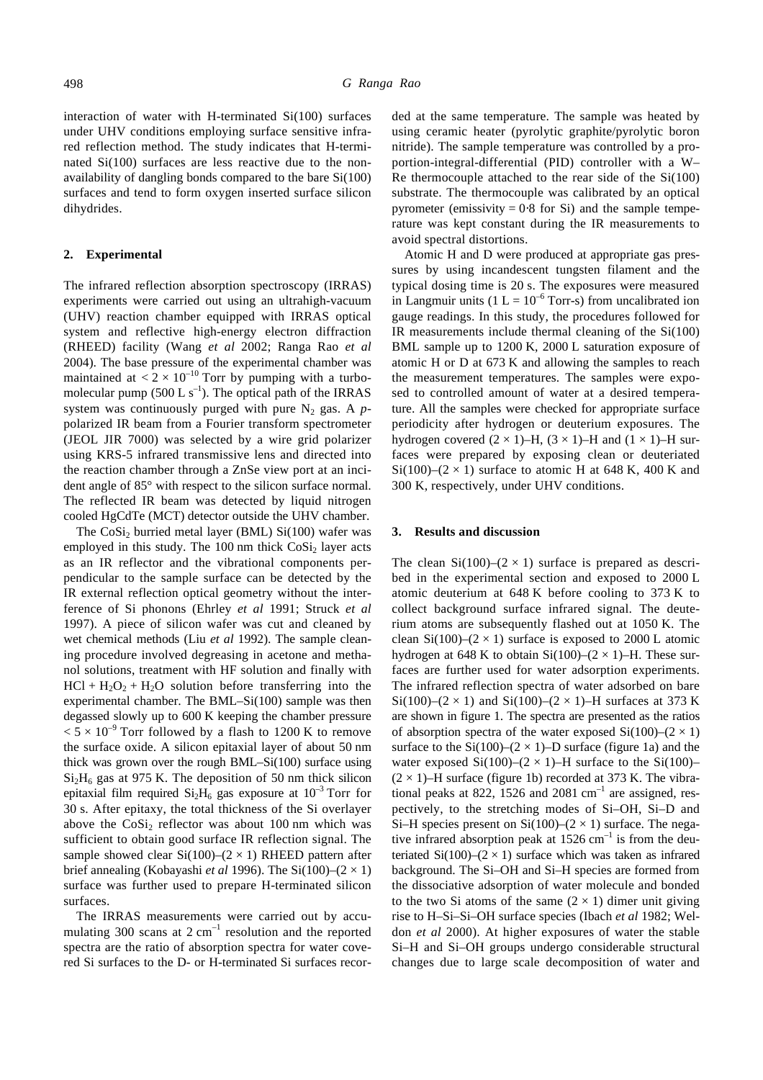interaction of water with H-terminated Si(100) surfaces under UHV conditions employing surface sensitive infrared reflection method. The study indicates that H-terminated Si(100) surfaces are less reactive due to the nonavailability of dangling bonds compared to the bare Si(100) surfaces and tend to form oxygen inserted surface silicon dihydrides.

#### **2. Experimental**

The infrared reflection absorption spectroscopy (IRRAS) experiments were carried out using an ultrahigh-vacuum (UHV) reaction chamber equipped with IRRAS optical system and reflective high-energy electron diffraction (RHEED) facility (Wang *et al* 2002; Ranga Rao *et al* 2004). The base pressure of the experimental chamber was maintained at  $< 2 \times 10^{-10}$  Torr by pumping with a turbomolecular pump (500 L  $s^{-1}$ ). The optical path of the IRRAS system was continuously purged with pure  $N_2$  gas. A  $p$ polarized IR beam from a Fourier transform spectrometer (JEOL JIR 7000) was selected by a wire grid polarizer using KRS-5 infrared transmissive lens and directed into the reaction chamber through a ZnSe view port at an incident angle of 85° with respect to the silicon surface normal. The reflected IR beam was detected by liquid nitrogen cooled HgCdTe (MCT) detector outside the UHV chamber.

The  $CoSi<sub>2</sub>$  burried metal layer (BML)  $Si(100)$  wafer was employed in this study. The  $100 \text{ nm}$  thick  $\text{CoSi}_2$  layer acts as an IR reflector and the vibrational components perpendicular to the sample surface can be detected by the IR external reflection optical geometry without the interference of Si phonons (Ehrley *et al* 1991; Struck *et al* 1997). A piece of silicon wafer was cut and cleaned by wet chemical methods (Liu *et al* 1992). The sample cleaning procedure involved degreasing in acetone and methanol solutions, treatment with HF solution and finally with  $HCl + H<sub>2</sub>O<sub>2</sub> + H<sub>2</sub>O$  solution before transferring into the experimental chamber. The BML–Si(100) sample was then degassed slowly up to 600 K keeping the chamber pressure  $< 5 \times 10^{-9}$  Torr followed by a flash to 1200 K to remove the surface oxide. A silicon epitaxial layer of about 50 nm thick was grown over the rough BML–Si(100) surface using  $Si<sub>2</sub>H<sub>6</sub>$  gas at 975 K. The deposition of 50 nm thick silicon epitaxial film required  $Si_2H_6$  gas exposure at  $10^{-3}$  Torr for 30 s. After epitaxy, the total thickness of the Si overlayer above the  $CoSi<sub>2</sub>$  reflector was about 100 nm which was sufficient to obtain good surface IR reflection signal. The sample showed clear  $Si(100)$ – $(2 \times 1)$  RHEED pattern after brief annealing (Kobayashi *et al* 1996). The Si(100)–(2 × 1) surface was further used to prepare H-terminated silicon surfaces.

The IRRAS measurements were carried out by accumulating 300 scans at  $2 \text{ cm}^{-1}$  resolution and the reported spectra are the ratio of absorption spectra for water covered Si surfaces to the D- or H-terminated Si surfaces recorded at the same temperature. The sample was heated by using ceramic heater (pyrolytic graphite/pyrolytic boron nitride). The sample temperature was controlled by a proportion-integral-differential (PID) controller with a W– Re thermocouple attached to the rear side of the  $Si(100)$ substrate. The thermocouple was calibrated by an optical pyrometer (emissivity =  $0.8$  for Si) and the sample temperature was kept constant during the IR measurements to avoid spectral distortions.

Atomic H and D were produced at appropriate gas pressures by using incandescent tungsten filament and the typical dosing time is 20 s. The exposures were measured in Langmuir units (1  $L = 10^{-6}$  Torr-s) from uncalibrated ion gauge readings. In this study, the procedures followed for IR measurements include thermal cleaning of the Si(100) BML sample up to 1200 K, 2000 L saturation exposure of atomic H or D at 673 K and allowing the samples to reach the measurement temperatures. The samples were exposed to controlled amount of water at a desired temperature. All the samples were checked for appropriate surface periodicity after hydrogen or deuterium exposures. The hydrogen covered  $(2 \times 1)$ –H,  $(3 \times 1)$ –H and  $(1 \times 1)$ –H surfaces were prepared by exposing clean or deuteriated Si(100)–(2  $\times$  1) surface to atomic H at 648 K, 400 K and 300 K, respectively, under UHV conditions.

#### **3. Results and discussion**

The clean  $Si(100)$ – $(2 \times 1)$  surface is prepared as described in the experimental section and exposed to 2000 L atomic deuterium at 648 K before cooling to 373 K to collect background surface infrared signal. The deuterium atoms are subsequently flashed out at 1050 K. The clean Si(100)–(2  $\times$  1) surface is exposed to 2000 L atomic hydrogen at 648 K to obtain Si(100)–( $2 \times 1$ )–H. These surfaces are further used for water adsorption experiments. The infrared reflection spectra of water adsorbed on bare Si(100)–(2  $\times$  1) and Si(100)–(2  $\times$  1)–H surfaces at 373 K are shown in figure 1. The spectra are presented as the ratios of absorption spectra of the water exposed  $Si(100)$ – $(2 \times 1)$ surface to the Si(100)–( $2 \times 1$ )–D surface (figure 1a) and the water exposed  $Si(100)$ – $(2 \times 1)$ –H surface to the  $Si(100)$ –  $(2 \times 1)$ –H surface (figure 1b) recorded at 373 K. The vibrational peaks at 822, 1526 and 2081  $\text{cm}^{-1}$  are assigned, respectively, to the stretching modes of Si–OH, Si–D and Si–H species present on Si(100)–( $2 \times 1$ ) surface. The negative infrared absorption peak at  $1526 \text{ cm}^{-1}$  is from the deuteriated  $Si(100)$ – $(2 \times 1)$  surface which was taken as infrared background. The Si–OH and Si–H species are formed from the dissociative adsorption of water molecule and bonded to the two Si atoms of the same  $(2 \times 1)$  dimer unit giving rise to H–Si–Si–OH surface species (Ibach *et al* 1982; Weldon *et al* 2000). At higher exposures of water the stable Si–H and Si–OH groups undergo considerable structural changes due to large scale decomposition of water and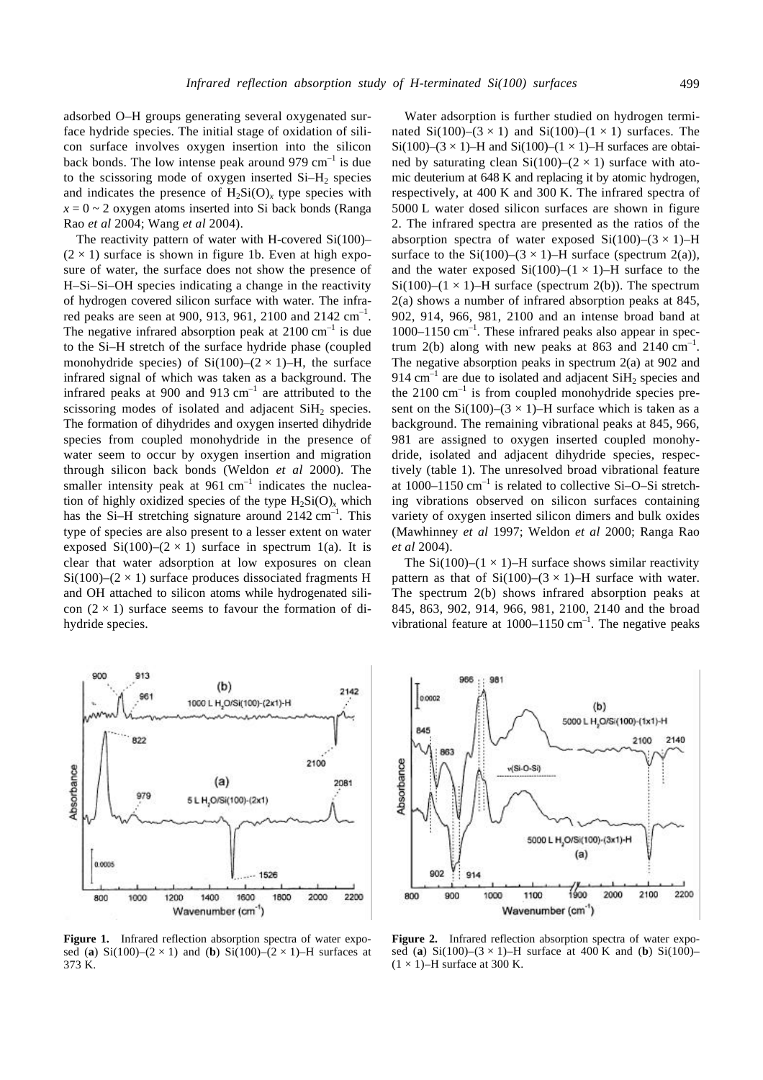adsorbed O–H groups generating several oxygenated surface hydride species. The initial stage of oxidation of silicon surface involves oxygen insertion into the silicon back bonds. The low intense peak around 979  $cm^{-1}$  is due to the scissoring mode of oxygen inserted  $Si-H<sub>2</sub>$  species and indicates the presence of  $H_2Si(O)_x$  type species with  $x = 0 \sim 2$  oxygen atoms inserted into Si back bonds (Ranga Rao *et al* 2004; Wang *et al* 2004).

The reactivity pattern of water with H-covered Si(100)–  $(2 \times 1)$  surface is shown in figure 1b. Even at high exposure of water, the surface does not show the presence of H–Si–Si–OH species indicating a change in the reactivity of hydrogen covered silicon surface with water. The infrared peaks are seen at 900, 913, 961, 2100 and 2142  $cm^{-1}$ . The negative infrared absorption peak at  $2100 \text{ cm}^{-1}$  is due to the Si–H stretch of the surface hydride phase (coupled monohydride species) of  $Si(100)–(2 \times 1)–H$ , the surface infrared signal of which was taken as a background. The infrared peaks at 900 and 913  $cm^{-1}$  are attributed to the scissoring modes of isolated and adjacent  $SiH<sub>2</sub>$  species. The formation of dihydrides and oxygen inserted dihydride species from coupled monohydride in the presence of water seem to occur by oxygen insertion and migration through silicon back bonds (Weldon *et al* 2000). The smaller intensity peak at  $961 \text{ cm}^{-1}$  indicates the nucleation of highly oxidized species of the type  $H_2Si(O)_x$  which has the Si-H stretching signature around  $2142 \text{ cm}^{-1}$ . This type of species are also present to a lesser extent on water exposed Si(100)–(2  $\times$  1) surface in spectrum 1(a). It is clear that water adsorption at low exposures on clean  $Si(100)$ – $(2 \times 1)$  surface produces dissociated fragments H and OH attached to silicon atoms while hydrogenated silicon  $(2 \times 1)$  surface seems to favour the formation of dihydride species.



Figure 1. Infrared reflection absorption spectra of water exposed (a) Si(100)–(2  $\times$  1) and (b) Si(100)–(2  $\times$  1)–H surfaces at 373 K.

Water adsorption is further studied on hydrogen terminated Si(100)–(3  $\times$  1) and Si(100)–(1  $\times$  1) surfaces. The Si(100)–(3  $\times$  1)–H and Si(100)–(1  $\times$  1)–H surfaces are obtained by saturating clean  $Si(100)$ – $(2 \times 1)$  surface with atomic deuterium at 648 K and replacing it by atomic hydrogen, respectively, at 400 K and 300 K. The infrared spectra of 5000 L water dosed silicon surfaces are shown in figure 2. The infrared spectra are presented as the ratios of the absorption spectra of water exposed  $Si(100)$ – $(3 \times 1)$ –H surface to the Si(100)–(3  $\times$  1)–H surface (spectrum 2(a)), and the water exposed  $Si(100)–(1 \times 1)–H$  surface to the Si(100)–(1  $\times$  1)–H surface (spectrum 2(b)). The spectrum 2(a) shows a number of infrared absorption peaks at 845, 902, 914, 966, 981, 2100 and an intense broad band at 1000–1150 cm<sup>-1</sup>. These infrared peaks also appear in spectrum 2(b) along with new peaks at 863 and 2140  $\text{cm}^{-1}$ . The negative absorption peaks in spectrum 2(a) at 902 and 914  $\text{cm}^{-1}$  are due to isolated and adjacent  $\text{SiH}_2$  species and the  $2100 \text{ cm}^{-1}$  is from coupled monohydride species present on the Si(100)–(3  $\times$  1)–H surface which is taken as a background. The remaining vibrational peaks at 845, 966, 981 are assigned to oxygen inserted coupled monohydride, isolated and adjacent dihydride species, respectively (table 1). The unresolved broad vibrational feature at  $1000-1150$  cm<sup>-1</sup> is related to collective Si-O-Si stretching vibrations observed on silicon surfaces containing variety of oxygen inserted silicon dimers and bulk oxides (Mawhinney *et al* 1997; Weldon *et al* 2000; Ranga Rao *et al* 2004).

The Si(100)–(1  $\times$  1)–H surface shows similar reactivity pattern as that of  $Si(100)$ – $(3 \times 1)$ –H surface with water. The spectrum 2(b) shows infrared absorption peaks at 845, 863, 902, 914, 966, 981, 2100, 2140 and the broad vibrational feature at  $1000-1150$  cm<sup>-1</sup>. The negative peaks



**Figure 2.** Infrared reflection absorption spectra of water exposed (**a**) Si(100)–(3 × 1)–H surface at 400 K and (**b**) Si(100)–  $(1 \times 1)$ –H surface at 300 K.